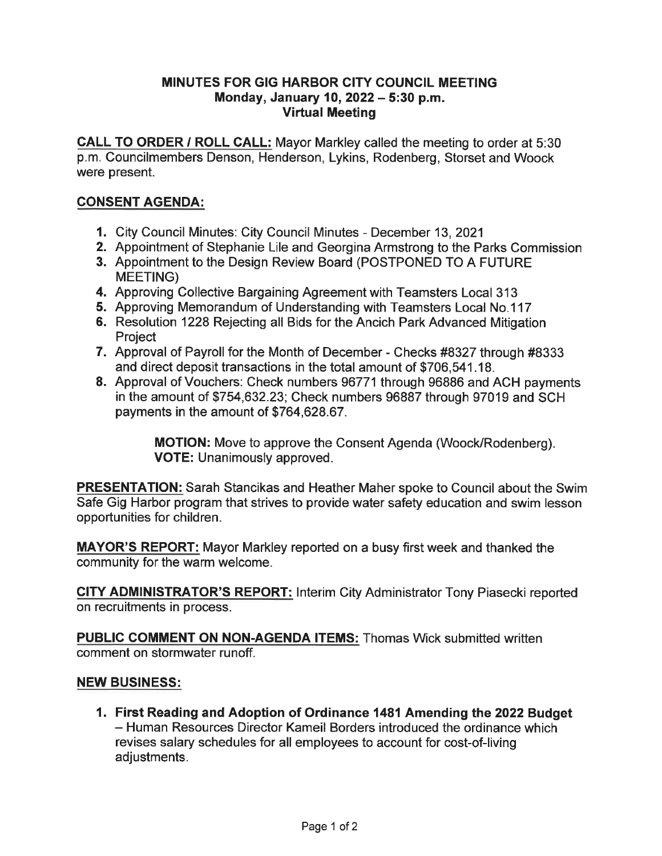## MINUTES FOR GIG HARBOR CITY COUNCIL MEETING Monday, January 10, 2022 - 5:30 p. m. Virtual Meeting

CALL TO ORDER / ROLL CALL: Mayor Markley called the meeting to order at 5:30 p.m. Councilmembers Denson, Henderson, Lykins, Rodenberg, Storset and Woock were present.

## CONSENT AGENDA:

- 1. City Council Minutes: City Council Minutes December 13, 2021
- 2. Appointment of Stephanie Lile and Georgina Armstrong to the Parks Commission
- 3. Appointment to the Design Review Board (POSTPONED TO A FUTURE MEETING)
- 4. Approving Collective Bargaining Agreement with Teamsters Local 313
- 5. Approving Memorandum of Understanding with Teamsters Local No. 117
- 6. Resolution 1228 Rejecting all Bids for the Ancich Park Advanced Mitigation **Project**
- 7. Approval of Payroll for the Month of December Checks #8327 through #8333 and direct deposit transactions in the total amount of \$706,541. 18.
- 8. Approval of Vouchers: Check numbers 96771 through 96886 and ACH payments in the amount of \$754,632.23; Check numbers 96887 through 97019 and SCH payments in the amount of \$764,628.67.

MOTION: Move to approve the Consent Agenda (Woock/Rodenberg). VOTE: Unanimously approved.

PRESENTATION: Sarah Stancikas and Heather Maher spoke to Council about the Swim Safe Gig Harbor program that strives to provide water safety education and swim lesson opportunities for children.

MAYOR'S REPORT: Mayor Markley reported on a busy first week and thanked the community for the warm welcome.

**CITY ADMINISTRATOR'S REPORT:** Interim City Administrator Tony Piasecki reported on recruitments in process.

PUBLIC COMMENT ON NON-AGENDA ITEMS: Thomas Wick submitted written comment on stormwater runoff.

## NEW BUSINESS:

1. First Reading and Adoption of Ordinance 1481 Amending the 2022 Budget - Human Resources Director Kameil Borders introduced the ordinance which revises salary schedules for all employees to account for cost-of-living adjustments.